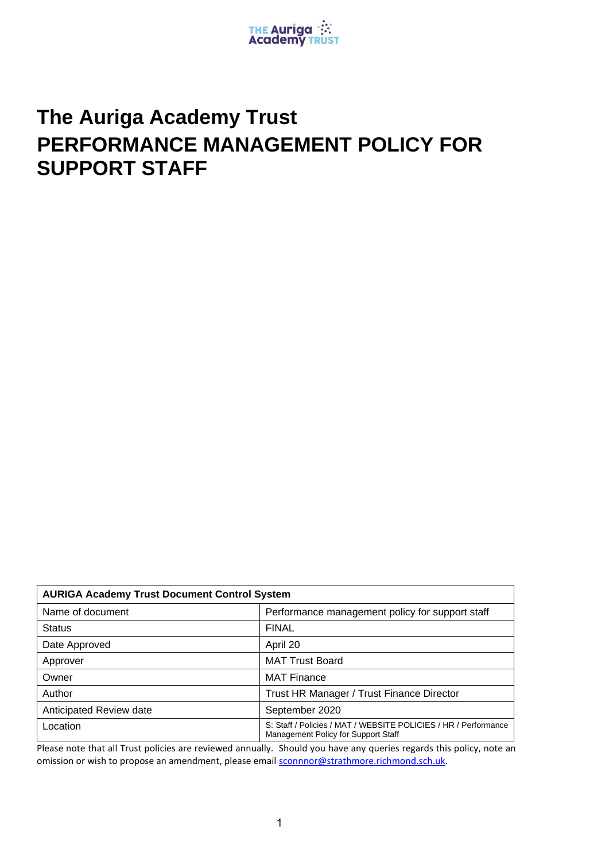

# **The Auriga Academy Trust PERFORMANCE MANAGEMENT POLICY FOR SUPPORT STAFF**

| <b>AURIGA Academy Trust Document Control System</b> |                                                                                                        |  |
|-----------------------------------------------------|--------------------------------------------------------------------------------------------------------|--|
| Name of document                                    | Performance management policy for support staff                                                        |  |
| <b>Status</b>                                       | <b>FINAL</b>                                                                                           |  |
| Date Approved                                       | April 20                                                                                               |  |
| Approver                                            | <b>MAT Trust Board</b>                                                                                 |  |
| Owner                                               | <b>MAT Finance</b>                                                                                     |  |
| Author                                              | Trust HR Manager / Trust Finance Director                                                              |  |
| Anticipated Review date                             | September 2020                                                                                         |  |
| Location                                            | S: Staff / Policies / MAT / WEBSITE POLICIES / HR / Performance<br>Management Policy for Support Staff |  |

Please note that all Trust policies are reviewed annually. Should you have any queries regards this policy, note an omission or wish to propose an amendment, please email **sconnnor@strathmore.richmond.sch.uk.**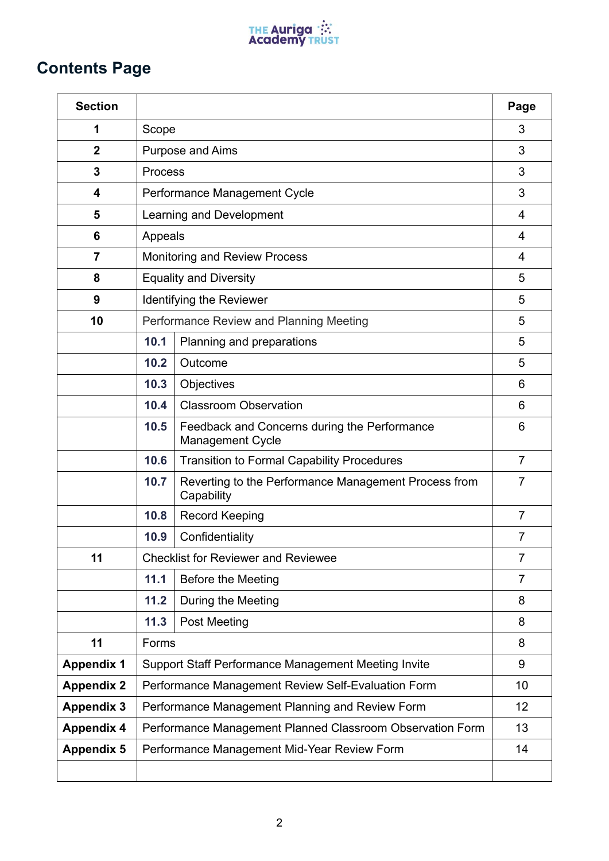

# **Contents Page**

| <b>Section</b>    |                                                                 |                                                                         | Page           |
|-------------------|-----------------------------------------------------------------|-------------------------------------------------------------------------|----------------|
| 1                 | Scope                                                           |                                                                         | 3              |
| $\mathbf{2}$      | <b>Purpose and Aims</b>                                         |                                                                         | 3              |
| 3                 | Process                                                         |                                                                         | 3              |
| 4                 | Performance Management Cycle                                    |                                                                         | 3              |
| 5                 | Learning and Development                                        |                                                                         | 4              |
| 6                 | Appeals                                                         |                                                                         | 4              |
| $\overline{7}$    | <b>Monitoring and Review Process</b>                            |                                                                         | 4              |
| 8                 | <b>Equality and Diversity</b><br>5                              |                                                                         |                |
| 9                 | Identifying the Reviewer                                        |                                                                         | 5              |
| 10                | Performance Review and Planning Meeting                         |                                                                         | 5              |
|                   | 10.1                                                            | Planning and preparations                                               | 5              |
|                   | 10.2                                                            | Outcome                                                                 | 5              |
|                   | 10.3                                                            | Objectives                                                              | 6              |
|                   | 10.4                                                            | <b>Classroom Observation</b>                                            | 6              |
|                   | 10.5                                                            | Feedback and Concerns during the Performance<br><b>Management Cycle</b> | 6              |
|                   | 10.6                                                            | <b>Transition to Formal Capability Procedures</b>                       | $\overline{7}$ |
|                   | 10.7                                                            | Reverting to the Performance Management Process from<br>Capability      | $\overline{7}$ |
|                   | 10.8                                                            | <b>Record Keeping</b>                                                   | $\overline{7}$ |
|                   | 10.9                                                            | Confidentiality                                                         | $\overline{7}$ |
| 11                |                                                                 | <b>Checklist for Reviewer and Reviewee</b>                              | $\overline{7}$ |
|                   | 11.1                                                            | <b>Before the Meeting</b>                                               | $\overline{7}$ |
|                   | 11.2                                                            | During the Meeting                                                      | 8              |
|                   | 11.3                                                            | <b>Post Meeting</b>                                                     | 8              |
| 11                | Forms                                                           |                                                                         | 8              |
| <b>Appendix 1</b> | Support Staff Performance Management Meeting Invite             |                                                                         | 9              |
| <b>Appendix 2</b> | Performance Management Review Self-Evaluation Form<br>10        |                                                                         |                |
| <b>Appendix 3</b> | Performance Management Planning and Review Form<br>12           |                                                                         |                |
| <b>Appendix 4</b> | Performance Management Planned Classroom Observation Form<br>13 |                                                                         |                |
| <b>Appendix 5</b> |                                                                 | Performance Management Mid-Year Review Form                             | 14             |
|                   |                                                                 |                                                                         |                |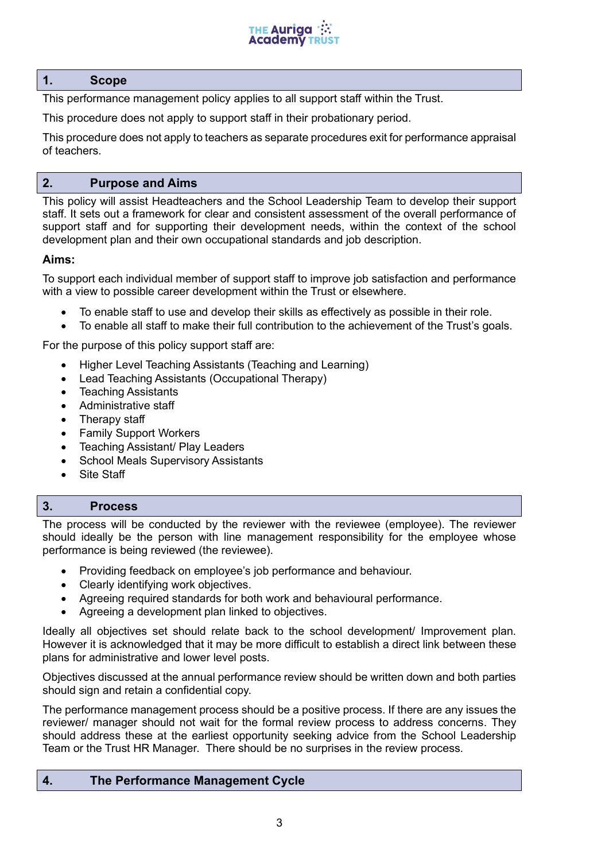

#### **1. Scope**

This performance management policy applies to all support staff within the Trust.

This procedure does not apply to support staff in their probationary period.

This procedure does not apply to teachers as separate procedures exit for performance appraisal of teachers.

# **2. Purpose and Aims**

This policy will assist Headteachers and the School Leadership Team to develop their support staff. It sets out a framework for clear and consistent assessment of the overall performance of support staff and for supporting their development needs, within the context of the school development plan and their own occupational standards and job description.

# **Aims:**

To support each individual member of support staff to improve job satisfaction and performance with a view to possible career development within the Trust or elsewhere.

- To enable staff to use and develop their skills as effectively as possible in their role.
- To enable all staff to make their full contribution to the achievement of the Trust's goals.

For the purpose of this policy support staff are:

- Higher Level Teaching Assistants (Teaching and Learning)
- Lead Teaching Assistants (Occupational Therapy)
- Teaching Assistants
- Administrative staff
- Therapy staff
- Family Support Workers
- Teaching Assistant/ Play Leaders
- School Meals Supervisory Assistants
- Site Staff

# **3. Process**

The process will be conducted by the reviewer with the reviewee (employee). The reviewer should ideally be the person with line management responsibility for the employee whose performance is being reviewed (the reviewee).

- Providing feedback on employee's job performance and behaviour.
- Clearly identifying work objectives.
- Agreeing required standards for both work and behavioural performance.
- Agreeing a development plan linked to objectives.

Ideally all objectives set should relate back to the school development/ Improvement plan. However it is acknowledged that it may be more difficult to establish a direct link between these plans for administrative and lower level posts.

Objectives discussed at the annual performance review should be written down and both parties should sign and retain a confidential copy.

The performance management process should be a positive process. If there are any issues the reviewer/ manager should not wait for the formal review process to address concerns. They should address these at the earliest opportunity seeking advice from the School Leadership Team or the Trust HR Manager. There should be no surprises in the review process.

# **4. The Performance Management Cycle**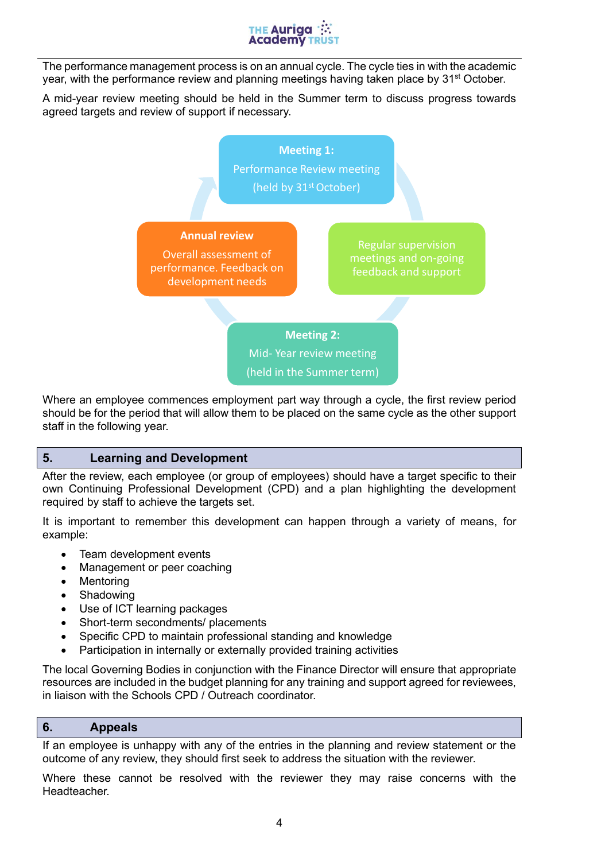

The performance management process is on an annual cycle. The cycle ties in with the academic year, with the performance review and planning meetings having taken place by 31<sup>st</sup> October.

A mid-year review meeting should be held in the Summer term to discuss progress towards agreed targets and review of support if necessary.



Where an employee commences employment part way through a cycle, the first review period should be for the period that will allow them to be placed on the same cycle as the other support staff in the following year.

#### **5. Learning and Development**

After the review, each employee (or group of employees) should have a target specific to their own Continuing Professional Development (CPD) and a plan highlighting the development required by staff to achieve the targets set.

It is important to remember this development can happen through a variety of means, for example:

- Team development events
- Management or peer coaching
- Mentoring
- Shadowing
- Use of ICT learning packages
- Short-term secondments/ placements
- Specific CPD to maintain professional standing and knowledge
- Participation in internally or externally provided training activities

The local Governing Bodies in conjunction with the Finance Director will ensure that appropriate resources are included in the budget planning for any training and support agreed for reviewees, in liaison with the Schools CPD / Outreach coordinator.

#### **6. Appeals**

If an employee is unhappy with any of the entries in the planning and review statement or the outcome of any review, they should first seek to address the situation with the reviewer.

Where these cannot be resolved with the reviewer they may raise concerns with the Headteacher.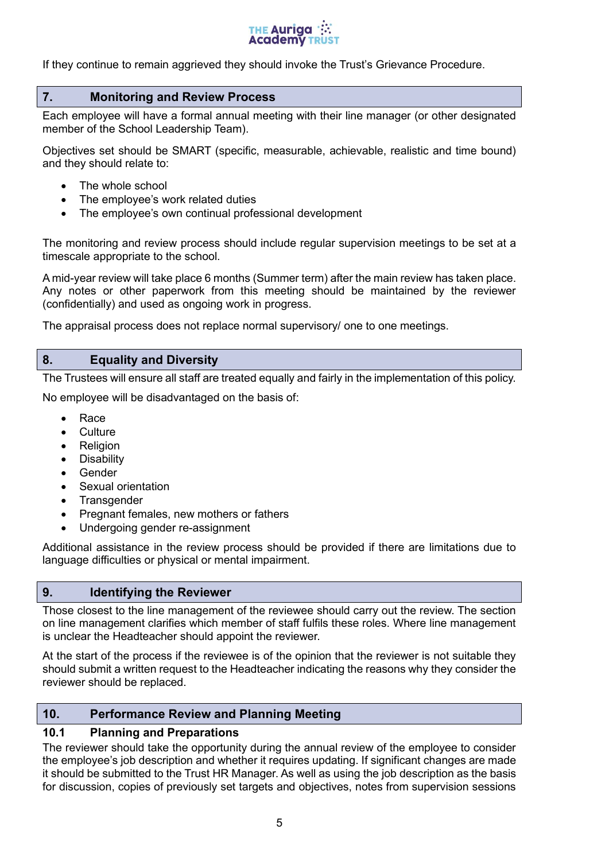

If they continue to remain aggrieved they should invoke the Trust's Grievance Procedure.

# **7. Monitoring and Review Process**

Each employee will have a formal annual meeting with their line manager (or other designated member of the School Leadership Team).

Objectives set should be SMART (specific, measurable, achievable, realistic and time bound) and they should relate to:

- The whole school
- The employee's work related duties
- The employee's own continual professional development

The monitoring and review process should include regular supervision meetings to be set at a timescale appropriate to the school.

A mid-year review will take place 6 months (Summer term) after the main review has taken place. Any notes or other paperwork from this meeting should be maintained by the reviewer (confidentially) and used as ongoing work in progress.

The appraisal process does not replace normal supervisory/ one to one meetings.

# **8. Equality and Diversity**

The Trustees will ensure all staff are treated equally and fairly in the implementation of this policy.

No employee will be disadvantaged on the basis of:

- Race
- Culture
- Religion
- Disability
- **Gender**
- Sexual orientation
- Transgender
- Pregnant females, new mothers or fathers
- Undergoing gender re-assignment

Additional assistance in the review process should be provided if there are limitations due to language difficulties or physical or mental impairment.

#### **9. Identifying the Reviewer**

Those closest to the line management of the reviewee should carry out the review. The section on line management clarifies which member of staff fulfils these roles. Where line management is unclear the Headteacher should appoint the reviewer.

At the start of the process if the reviewee is of the opinion that the reviewer is not suitable they should submit a written request to the Headteacher indicating the reasons why they consider the reviewer should be replaced.

#### **10. Performance Review and Planning Meeting**

# **10.1 Planning and Preparations**

The reviewer should take the opportunity during the annual review of the employee to consider the employee's job description and whether it requires updating. If significant changes are made it should be submitted to the Trust HR Manager. As well as using the job description as the basis for discussion, copies of previously set targets and objectives, notes from supervision sessions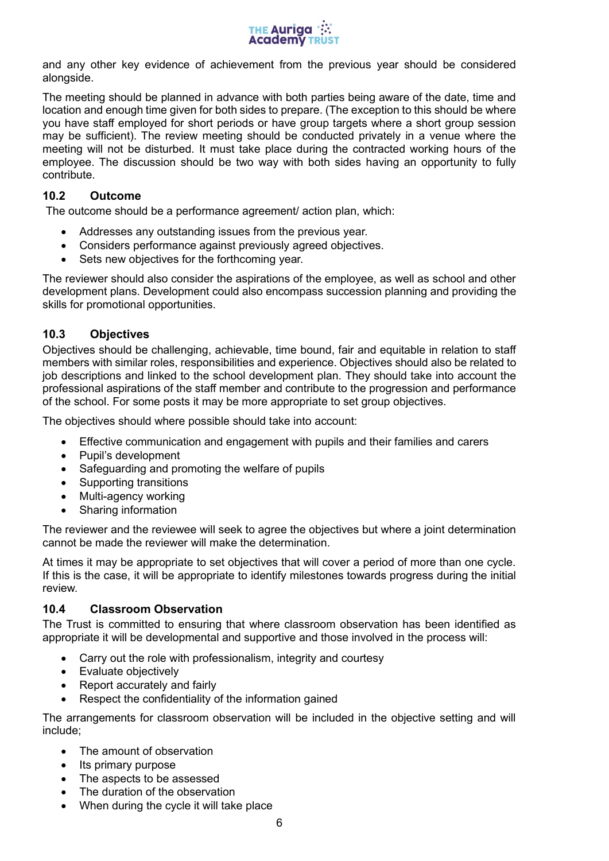

and any other key evidence of achievement from the previous year should be considered alongside.

The meeting should be planned in advance with both parties being aware of the date, time and location and enough time given for both sides to prepare. (The exception to this should be where you have staff employed for short periods or have group targets where a short group session may be sufficient). The review meeting should be conducted privately in a venue where the meeting will not be disturbed. It must take place during the contracted working hours of the employee. The discussion should be two way with both sides having an opportunity to fully contribute.

# **10.2 Outcome**

The outcome should be a performance agreement/ action plan, which:

- Addresses any outstanding issues from the previous year.
- Considers performance against previously agreed objectives.
- Sets new objectives for the forthcoming year.

The reviewer should also consider the aspirations of the employee, as well as school and other development plans. Development could also encompass succession planning and providing the skills for promotional opportunities.

#### **10.3 Objectives**

Objectives should be challenging, achievable, time bound, fair and equitable in relation to staff members with similar roles, responsibilities and experience. Objectives should also be related to job descriptions and linked to the school development plan. They should take into account the professional aspirations of the staff member and contribute to the progression and performance of the school. For some posts it may be more appropriate to set group objectives.

The objectives should where possible should take into account:

- Effective communication and engagement with pupils and their families and carers
- Pupil's development
- Safeguarding and promoting the welfare of pupils
- Supporting transitions
- Multi-agency working
- Sharing information

The reviewer and the reviewee will seek to agree the objectives but where a joint determination cannot be made the reviewer will make the determination.

At times it may be appropriate to set objectives that will cover a period of more than one cycle. If this is the case, it will be appropriate to identify milestones towards progress during the initial review.

#### **10.4 Classroom Observation**

The Trust is committed to ensuring that where classroom observation has been identified as appropriate it will be developmental and supportive and those involved in the process will:

- Carry out the role with professionalism, integrity and courtesy
- Evaluate objectively
- Report accurately and fairly
- Respect the confidentiality of the information gained

The arrangements for classroom observation will be included in the objective setting and will include;

- The amount of observation
- Its primary purpose
- The aspects to be assessed
- The duration of the observation
- When during the cycle it will take place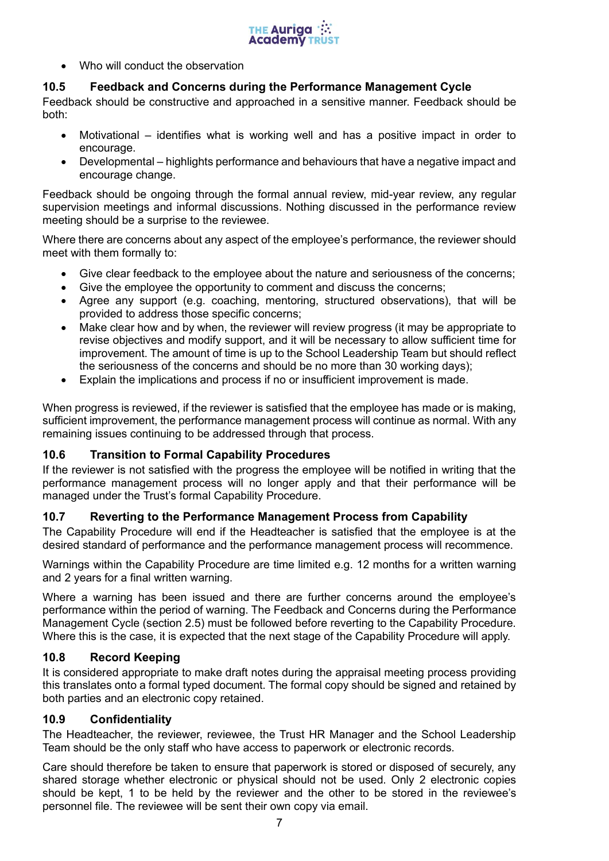

• Who will conduct the observation

# **10.5 Feedback and Concerns during the Performance Management Cycle**

Feedback should be constructive and approached in a sensitive manner. Feedback should be both:

- Motivational identifies what is working well and has a positive impact in order to encourage.
- Developmental highlights performance and behaviours that have a negative impact and encourage change.

Feedback should be ongoing through the formal annual review, mid-year review, any regular supervision meetings and informal discussions. Nothing discussed in the performance review meeting should be a surprise to the reviewee.

Where there are concerns about any aspect of the employee's performance, the reviewer should meet with them formally to:

- Give clear feedback to the employee about the nature and seriousness of the concerns;
- Give the employee the opportunity to comment and discuss the concerns;
- Agree any support (e.g. coaching, mentoring, structured observations), that will be provided to address those specific concerns;
- Make clear how and by when, the reviewer will review progress (it may be appropriate to revise objectives and modify support, and it will be necessary to allow sufficient time for improvement. The amount of time is up to the School Leadership Team but should reflect the seriousness of the concerns and should be no more than 30 working days);
- Explain the implications and process if no or insufficient improvement is made.

When progress is reviewed, if the reviewer is satisfied that the employee has made or is making, sufficient improvement, the performance management process will continue as normal. With any remaining issues continuing to be addressed through that process.

# **10.6 Transition to Formal Capability Procedures**

If the reviewer is not satisfied with the progress the employee will be notified in writing that the performance management process will no longer apply and that their performance will be managed under the Trust's formal Capability Procedure.

# **10.7 Reverting to the Performance Management Process from Capability**

The Capability Procedure will end if the Headteacher is satisfied that the employee is at the desired standard of performance and the performance management process will recommence.

Warnings within the Capability Procedure are time limited e.g. 12 months for a written warning and 2 years for a final written warning.

Where a warning has been issued and there are further concerns around the employee's performance within the period of warning. The Feedback and Concerns during the Performance Management Cycle (section 2.5) must be followed before reverting to the Capability Procedure. Where this is the case, it is expected that the next stage of the Capability Procedure will apply.

# **10.8 Record Keeping**

It is considered appropriate to make draft notes during the appraisal meeting process providing this translates onto a formal typed document. The formal copy should be signed and retained by both parties and an electronic copy retained.

# **10.9 Confidentiality**

The Headteacher, the reviewer, reviewee, the Trust HR Manager and the School Leadership Team should be the only staff who have access to paperwork or electronic records.

Care should therefore be taken to ensure that paperwork is stored or disposed of securely, any shared storage whether electronic or physical should not be used. Only 2 electronic copies should be kept, 1 to be held by the reviewer and the other to be stored in the reviewee's personnel file. The reviewee will be sent their own copy via email.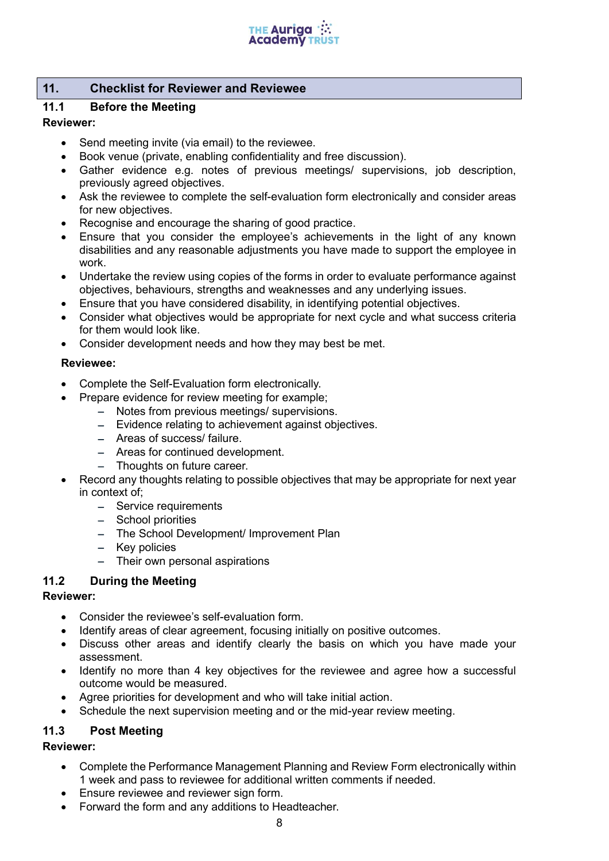

# **11. Checklist for Reviewer and Reviewee**

# **11.1 Before the Meeting**

#### **Reviewer:**

- Send meeting invite (via email) to the reviewee.
- Book venue (private, enabling confidentiality and free discussion).
- Gather evidence e.g. notes of previous meetings/ supervisions, job description, previously agreed objectives.
- Ask the reviewee to complete the self-evaluation form electronically and consider areas for new objectives.
- Recognise and encourage the sharing of good practice.
- Ensure that you consider the employee's achievements in the light of any known disabilities and any reasonable adjustments you have made to support the employee in work.
- Undertake the review using copies of the forms in order to evaluate performance against objectives, behaviours, strengths and weaknesses and any underlying issues.
- Ensure that you have considered disability, in identifying potential objectives.
- Consider what objectives would be appropriate for next cycle and what success criteria for them would look like.
- Consider development needs and how they may best be met.

#### **Reviewee:**

- Complete the Self-Evaluation form electronically.
- Prepare evidence for review meeting for example;
	- − Notes from previous meetings/ supervisions.
	- − Evidence relating to achievement against objectives.
	- − Areas of success/ failure.
	- − Areas for continued development.
	- − Thoughts on future career.
- Record any thoughts relating to possible objectives that may be appropriate for next year in context of;
	- − Service requirements
	- − School priorities
	- − The School Development/ Improvement Plan
	- − Key policies
	- − Their own personal aspirations

# **11.2 During the Meeting**

#### **Reviewer:**

- Consider the reviewee's self-evaluation form.
- Identify areas of clear agreement, focusing initially on positive outcomes.
- Discuss other areas and identify clearly the basis on which you have made your assessment.
- Identify no more than 4 key objectives for the reviewee and agree how a successful outcome would be measured.
- Agree priorities for development and who will take initial action.
- Schedule the next supervision meeting and or the mid-year review meeting.

# **11.3 Post Meeting**

#### **Reviewer:**

- Complete the Performance Management Planning and Review Form electronically within 1 week and pass to reviewee for additional written comments if needed.
- Ensure reviewee and reviewer sign form.
- Forward the form and any additions to Headteacher.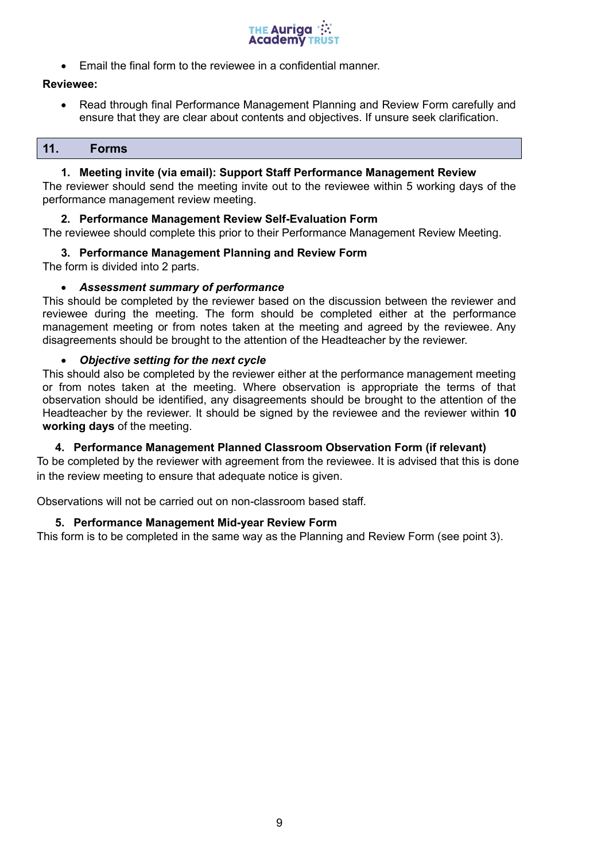

• Email the final form to the reviewee in a confidential manner.

#### **Reviewee:**

• Read through final Performance Management Planning and Review Form carefully and ensure that they are clear about contents and objectives. If unsure seek clarification.

#### **11. Forms**

#### **1. Meeting invite (via email): Support Staff Performance Management Review**

The reviewer should send the meeting invite out to the reviewee within 5 working days of the performance management review meeting.

#### **2. Performance Management Review Self-Evaluation Form**

The reviewee should complete this prior to their Performance Management Review Meeting.

#### **3. Performance Management Planning and Review Form**

The form is divided into 2 parts.

#### • *Assessment summary of performance*

This should be completed by the reviewer based on the discussion between the reviewer and reviewee during the meeting. The form should be completed either at the performance management meeting or from notes taken at the meeting and agreed by the reviewee. Any disagreements should be brought to the attention of the Headteacher by the reviewer.

#### • *Objective setting for the next cycle*

This should also be completed by the reviewer either at the performance management meeting or from notes taken at the meeting. Where observation is appropriate the terms of that observation should be identified, any disagreements should be brought to the attention of the Headteacher by the reviewer. It should be signed by the reviewee and the reviewer within **10 working days** of the meeting.

#### **4. Performance Management Planned Classroom Observation Form (if relevant)**

To be completed by the reviewer with agreement from the reviewee. It is advised that this is done in the review meeting to ensure that adequate notice is given.

Observations will not be carried out on non-classroom based staff.

#### **5. Performance Management Mid-year Review Form**

This form is to be completed in the same way as the Planning and Review Form (see point 3).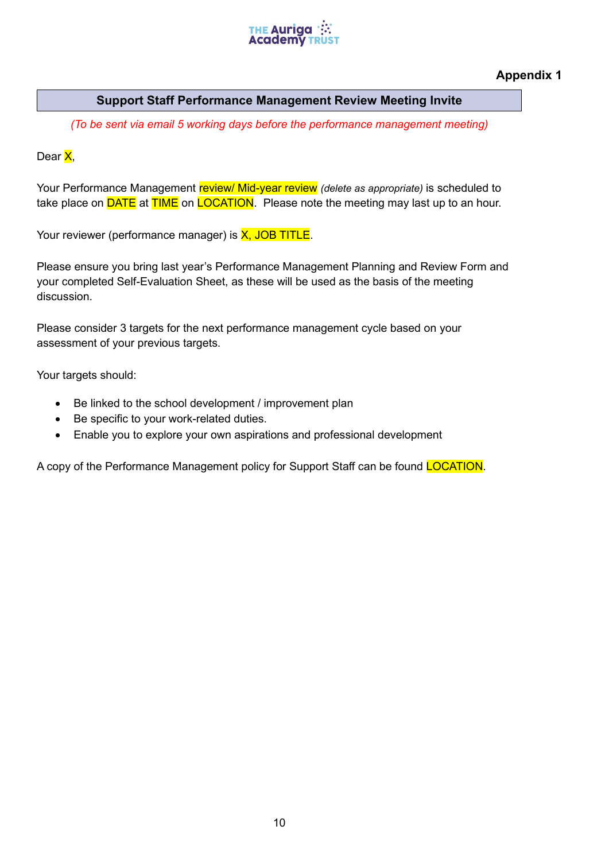

**Appendix 1**

# **Support Staff Performance Management Review Meeting Invite**

*(To be sent via email 5 working days before the performance management meeting)*

Dear X,

Your Performance Management review/ Mid-year review *(delete as appropriate)* is scheduled to take place on **DATE** at **TIME** on **LOCATION**. Please note the meeting may last up to an hour.

Your reviewer (performance manager) is **X**, JOB TITLE.

Please ensure you bring last year's Performance Management Planning and Review Form and your completed Self-Evaluation Sheet, as these will be used as the basis of the meeting discussion.

Please consider 3 targets for the next performance management cycle based on your assessment of your previous targets.

Your targets should:

- Be linked to the school development / improvement plan
- Be specific to your work-related duties.
- Enable you to explore your own aspirations and professional development

A copy of the Performance Management policy for Support Staff can be found **LOCATION**.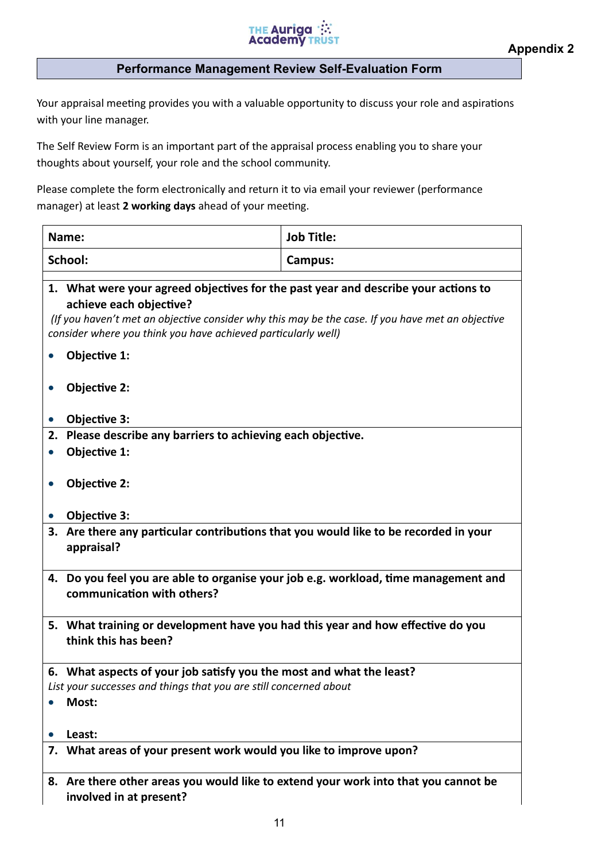

#### **Performance Management Review Self-Evaluation Form**

Your appraisal meeting provides you with a valuable opportunity to discuss your role and aspirations with your line manager.

The Self Review Form is an important part of the appraisal process enabling you to share your thoughts about yourself, your role and the school community.

Please complete the form electronically and return it to via email your reviewer (performance manager) at least **2 working days** ahead of your meeting.

| <b>Job Title:</b><br>Name:                                                                                                                                                                                                                                                         |  |  |
|------------------------------------------------------------------------------------------------------------------------------------------------------------------------------------------------------------------------------------------------------------------------------------|--|--|
| School:<br>Campus:                                                                                                                                                                                                                                                                 |  |  |
| 1. What were your agreed objectives for the past year and describe your actions to<br>achieve each objective?<br>(If you haven't met an objective consider why this may be the case. If you have met an objective<br>consider where you think you have achieved particularly well) |  |  |
| Objective 1:                                                                                                                                                                                                                                                                       |  |  |
| <b>Objective 2:</b>                                                                                                                                                                                                                                                                |  |  |
| Objective 3:                                                                                                                                                                                                                                                                       |  |  |
| Please describe any barriers to achieving each objective.<br>2.                                                                                                                                                                                                                    |  |  |
| Objective 1:                                                                                                                                                                                                                                                                       |  |  |
| <b>Objective 2:</b>                                                                                                                                                                                                                                                                |  |  |
| Objective 3:                                                                                                                                                                                                                                                                       |  |  |
| 3. Are there any particular contributions that you would like to be recorded in your<br>appraisal?                                                                                                                                                                                 |  |  |
| 4. Do you feel you are able to organise your job e.g. workload, time management and<br>communication with others?                                                                                                                                                                  |  |  |
| 5. What training or development have you had this year and how effective do you<br>think this has been?                                                                                                                                                                            |  |  |
| 6. What aspects of your job satisfy you the most and what the least?                                                                                                                                                                                                               |  |  |
| List your successes and things that you are still concerned about                                                                                                                                                                                                                  |  |  |
| Most:                                                                                                                                                                                                                                                                              |  |  |
| Least:                                                                                                                                                                                                                                                                             |  |  |
| 7. What areas of your present work would you like to improve upon?                                                                                                                                                                                                                 |  |  |
| 8. Are there other areas you would like to extend your work into that you cannot be                                                                                                                                                                                                |  |  |

**involved in at present?**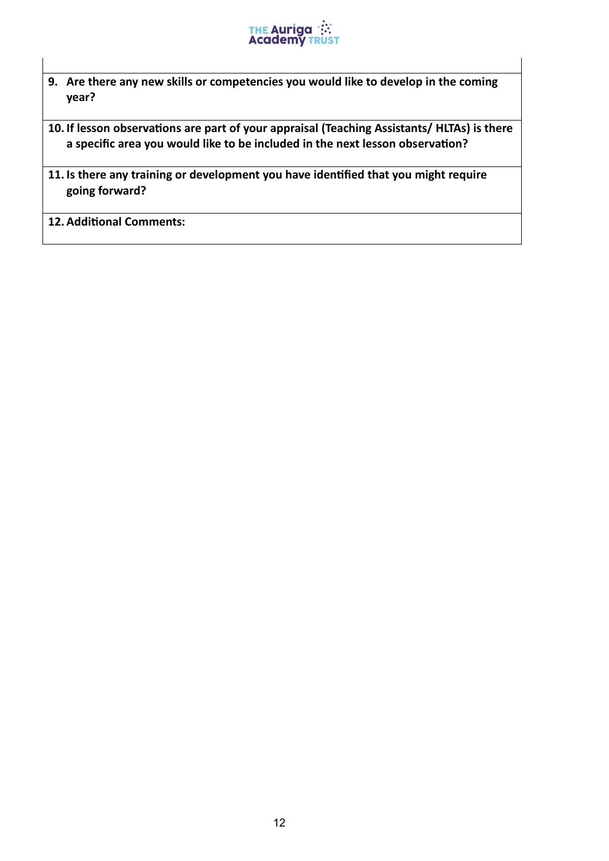

**9. Are there any new skills or competencies you would like to develop in the coming year?**

**10. If lesson observations are part of your appraisal (Teaching Assistants/ HLTAs) is there a specific area you would like to be included in the next lesson observation?**

**11. Is there any training or development you have identified that you might require going forward?**

**12. Additional Comments:**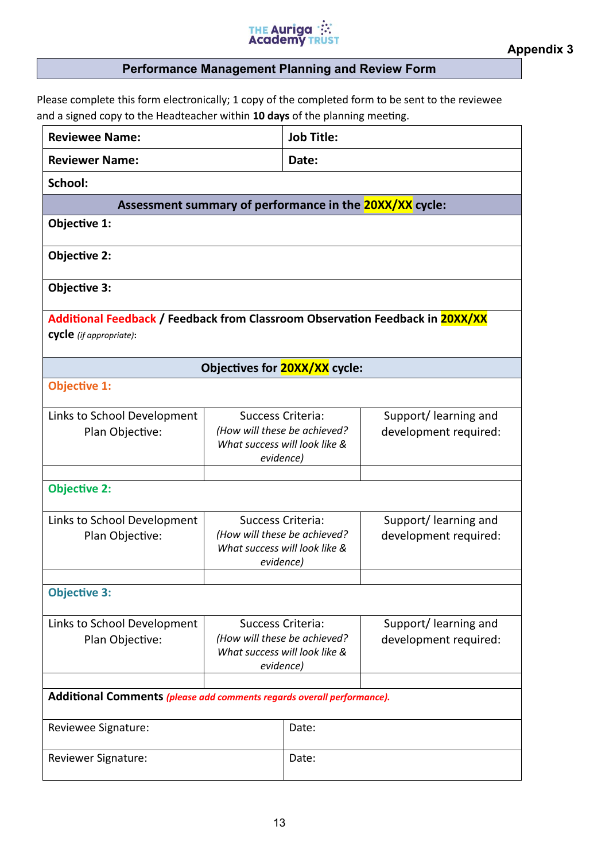# THE Auriga :::<br>Academy TRUST

# **Performance Management Planning and Review Form**

Please complete this form electronically; 1 copy of the completed form to be sent to the reviewee and a signed copy to the Headteacher within **10 days** of the planning meeting.

| <b>Reviewee Name:</b>                                                                                    |                                                                                                        | <b>Job Title:</b>                                                                               |                                                |
|----------------------------------------------------------------------------------------------------------|--------------------------------------------------------------------------------------------------------|-------------------------------------------------------------------------------------------------|------------------------------------------------|
| <b>Reviewer Name:</b>                                                                                    |                                                                                                        | Date:                                                                                           |                                                |
| School:                                                                                                  |                                                                                                        |                                                                                                 |                                                |
| Assessment summary of performance in the <b>20XX/XX</b> cycle:                                           |                                                                                                        |                                                                                                 |                                                |
| Objective 1:                                                                                             |                                                                                                        |                                                                                                 |                                                |
| Objective 2:                                                                                             |                                                                                                        |                                                                                                 |                                                |
| Objective 3:                                                                                             |                                                                                                        |                                                                                                 |                                                |
| Additional Feedback / Feedback from Classroom Observation Feedback in 20XX/XX<br>cycle (if appropriate): |                                                                                                        |                                                                                                 |                                                |
|                                                                                                          |                                                                                                        | Objectives for <b>20XX/XX</b> cycle:                                                            |                                                |
| <b>Objective 1:</b>                                                                                      |                                                                                                        |                                                                                                 |                                                |
| Links to School Development<br>Plan Objective:                                                           | <b>Success Criteria:</b><br>evidence)                                                                  | (How will these be achieved?<br>What success will look like &                                   | Support/learning and<br>development required:  |
| <b>Objective 2:</b>                                                                                      |                                                                                                        |                                                                                                 |                                                |
| Links to School Development<br>Plan Objective:                                                           |                                                                                                        | Success Criteria:<br>(How will these be achieved?<br>What success will look like &<br>evidence) | Support/learning and<br>development required:  |
| <b>Objective 3:</b>                                                                                      |                                                                                                        |                                                                                                 |                                                |
| Links to School Development<br>Plan Objective:                                                           | <b>Success Criteria:</b><br>(How will these be achieved?<br>What success will look like &<br>evidence) |                                                                                                 | Support/ learning and<br>development required: |
| Additional Comments (please add comments regards overall performance).                                   |                                                                                                        |                                                                                                 |                                                |
| Reviewee Signature:                                                                                      |                                                                                                        | Date:                                                                                           |                                                |
| Reviewer Signature:                                                                                      |                                                                                                        | Date:                                                                                           |                                                |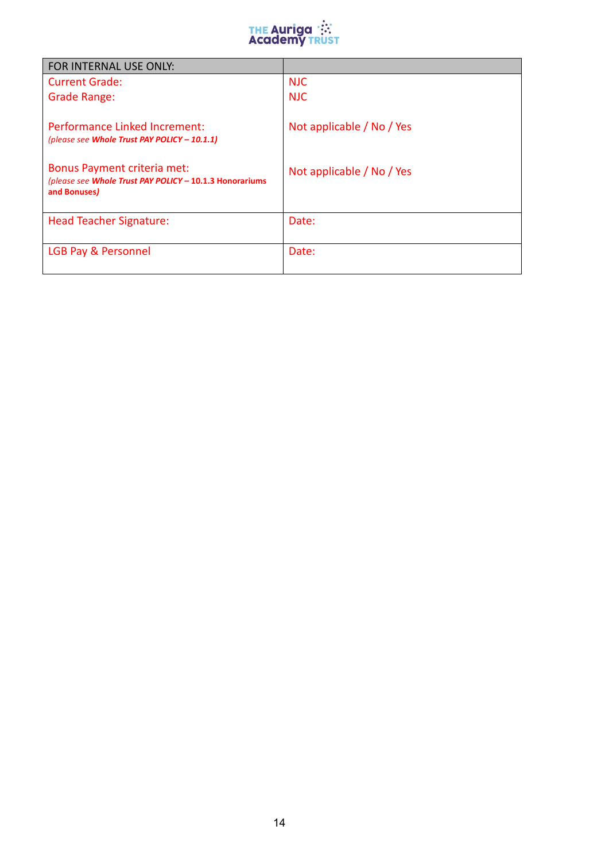

| FOR INTERNAL USE ONLY:                                                                                        |                           |
|---------------------------------------------------------------------------------------------------------------|---------------------------|
| Current Grade:                                                                                                | <b>NJC</b>                |
| Grade Range:                                                                                                  | <b>NJC</b>                |
| Performance Linked Increment:<br>(please see Whole Trust PAY POLICY - 10.1.1)                                 | Not applicable / No / Yes |
| <b>Bonus Payment criteria met:</b><br>(please see Whole Trust PAY POLICY - 10.1.3 Honorariums<br>and Bonuses) | Not applicable / No / Yes |
| <b>Head Teacher Signature:</b>                                                                                | Date:                     |
| LGB Pay & Personnel                                                                                           | Date:                     |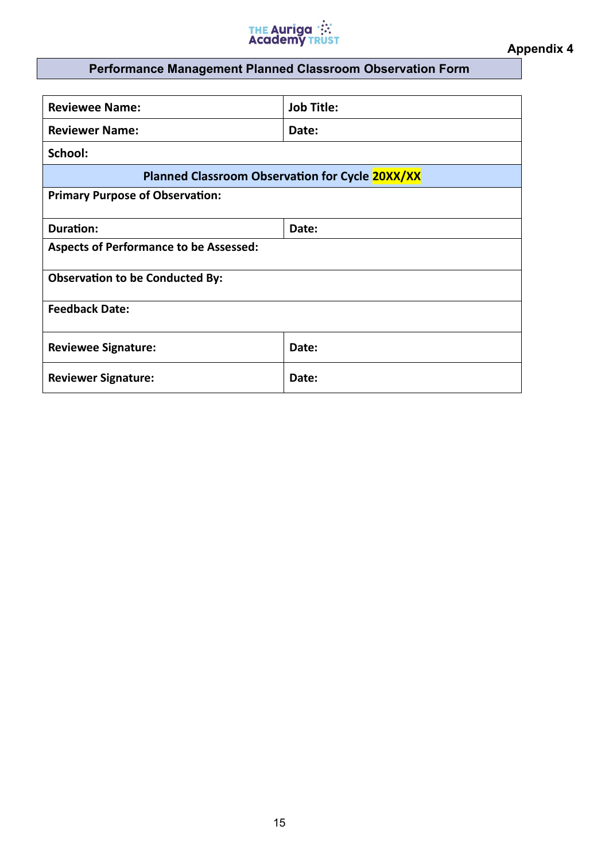

# **Performance Management Planned Classroom Observation Form**

| <b>Reviewee Name:</b>                           | <b>Job Title:</b> |  |
|-------------------------------------------------|-------------------|--|
| <b>Reviewer Name:</b>                           | Date:             |  |
| School:                                         |                   |  |
| Planned Classroom Observation for Cycle 20XX/XX |                   |  |
| <b>Primary Purpose of Observation:</b>          |                   |  |
| <b>Duration:</b>                                | Date:             |  |
| <b>Aspects of Performance to be Assessed:</b>   |                   |  |
| <b>Observation to be Conducted By:</b>          |                   |  |
| <b>Feedback Date:</b>                           |                   |  |
| <b>Reviewee Signature:</b>                      | Date:             |  |
| <b>Reviewer Signature:</b>                      | Date:             |  |